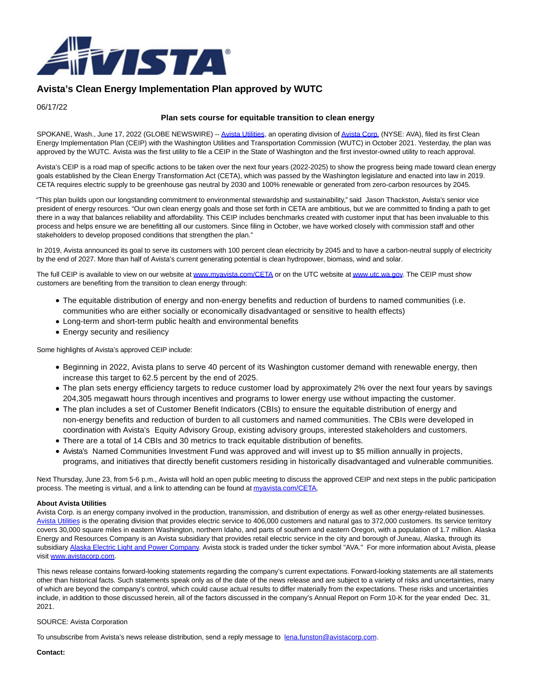

## **Avista's Clean Energy Implementation Plan approved by WUTC**

06/17/22

## **Plan sets course for equitable transition to clean energy**

SPOKANE, Wash., June 17, 2022 (GLOBE NEWSWIRE) -- [Avista Utilities,](http://www.avistautilities.com/residential/pages/default.aspx) an operating division o[f Avista Corp. \(](http://www.avistacorp.com/home/Pages/default.aspx)NYSE: AVA), filed its first Clean Energy Implementation Plan (CEIP) with the Washington Utilities and Transportation Commission (WUTC) in October 2021. Yesterday, the plan was approved by the WUTC. Avista was the first utility to file a CEIP in the State of Washington and the first investor-owned utility to reach approval.

Avista's CEIP is a road map of specific actions to be taken over the next four years (2022-2025) to show the progress being made toward clean energy goals established by the Clean Energy Transformation Act (CETA), which was passed by the Washington legislature and enacted into law in 2019. CETA requires electric supply to be greenhouse gas neutral by 2030 and 100% renewable or generated from zero-carbon resources by 2045.

"This plan builds upon our longstanding commitment to environmental stewardship and sustainability," said Jason Thackston, Avista's senior vice president of energy resources. "Our own clean energy goals and those set forth in CETA are ambitious, but we are committed to finding a path to get there in a way that balances reliability and affordability. This CEIP includes benchmarks created with customer input that has been invaluable to this process and helps ensure we are benefitting all our customers. Since filing in October, we have worked closely with commission staff and other stakeholders to develop proposed conditions that strengthen the plan."

In 2019, Avista announced its goal to serve its customers with 100 percent clean electricity by 2045 and to have a carbon-neutral supply of electricity by the end of 2027. More than half of Avista's current generating potential is clean hydropower, biomass, wind and solar.

The full CEIP is available to view on our website a[t www.myavista.com/CETA o](http://www.myavista.com/CETA)r on the UTC website a[t www.utc.wa.gov.](http://www.utc.wa.gov/) The CEIP must show customers are benefiting from the transition to clean energy through:

- The equitable distribution of energy and non-energy benefits and reduction of burdens to named communities (i.e. communities who are either socially or economically disadvantaged or sensitive to health effects)
- Long-term and short-term public health and environmental benefits
- Energy security and resiliency

Some highlights of Avista's approved CEIP include:

- Beginning in 2022, Avista plans to serve 40 percent of its Washington customer demand with renewable energy, then increase this target to 62.5 percent by the end of 2025.
- The plan sets energy efficiency targets to reduce customer load by approximately 2% over the next four years by savings 204,305 megawatt hours through incentives and programs to lower energy use without impacting the customer.
- The plan includes a set of Customer Benefit Indicators (CBIs) to ensure the equitable distribution of energy and non-energy benefits and reduction of burden to all customers and named communities. The CBIs were developed in coordination with Avista's Equity Advisory Group, existing advisory groups, interested stakeholders and customers.
- There are a total of 14 CBIs and 30 metrics to track equitable distribution of benefits.
- Avista's Named Communities Investment Fund was approved and will invest up to \$5 million annually in projects, programs, and initiatives that directly benefit customers residing in historically disadvantaged and vulnerable communities.

Next Thursday, June 23, from 5-6 p.m., Avista will hold an open public meeting to discuss the approved CEIP and next steps in the public participation process. The meeting is virtual, and a link to attending can be found at [myavista.com/CETA.](https://myavista.com/ceta)

## **About Avista Utilities**

Avista Corp. is an energy company involved in the production, transmission, and distribution of energy as well as other energy-related businesses. [Avista Utilities i](http://www.myavista.com/)s the operating division that provides electric service to 406,000 customers and natural gas to 372,000 customers. Its service territory covers 30,000 square miles in eastern Washington, northern Idaho, and parts of southern and eastern Oregon, with a population of 1.7 million. Alaska Energy and Resources Company is an Avista subsidiary that provides retail electric service in the city and borough of Juneau, Alaska, through its subsidiar[y Alaska Electric Light and Power Company.](http://www.aelp.com/) Avista stock is traded under the ticker symbol "AVA." For more information about Avista, please visit [www.avistacorp.com.](http://www.avistacorp.com/)

This news release contains forward-looking statements regarding the company's current expectations. Forward-looking statements are all statements other than historical facts. Such statements speak only as of the date of the news release and are subject to a variety of risks and uncertainties, many of which are beyond the company's control, which could cause actual results to differ materially from the expectations. These risks and uncertainties include, in addition to those discussed herein, all of the factors discussed in the company's Annual Report on Form 10-K for the year ended Dec. 31, 2021.

## SOURCE: Avista Corporation

To unsubscribe from Avista's news release distribution, send a reply message to [lena.funston@avistacorp.com.](mailto:lena.funston@avistacorp.com)

**Contact:**